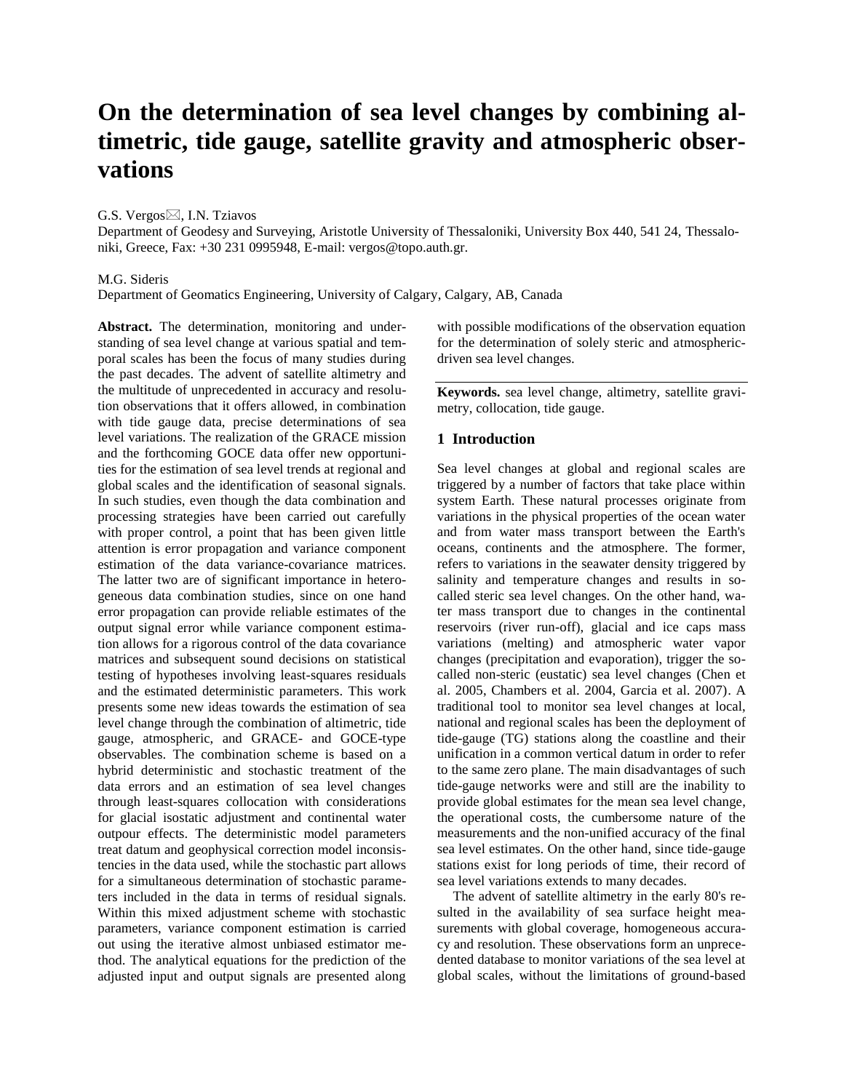# **On the determination of sea level changes by combining altimetric, tide gauge, satellite gravity and atmospheric observations**

## G.S. Vergos⊠, I.N. Tziavos

Department of Geodesy and Surveying, Aristotle University of Thessaloniki, University Box 440, 541 24, Thessaloniki, Greece, Fax: +30 231 0995948, E-mail: vergos@topo.auth.gr.

#### M.G. Sideris

Department of Geomatics Engineering, University of Calgary, Calgary, AB, Canada

**Abstract.** The determination, monitoring and understanding of sea level change at various spatial and temporal scales has been the focus of many studies during the past decades. The advent of satellite altimetry and the multitude of unprecedented in accuracy and resolution observations that it offers allowed, in combination with tide gauge data, precise determinations of sea level variations. The realization of the GRACE mission and the forthcoming GOCE data offer new opportunities for the estimation of sea level trends at regional and global scales and the identification of seasonal signals. In such studies, even though the data combination and processing strategies have been carried out carefully with proper control, a point that has been given little attention is error propagation and variance component estimation of the data variance-covariance matrices. The latter two are of significant importance in heterogeneous data combination studies, since on one hand error propagation can provide reliable estimates of the output signal error while variance component estimation allows for a rigorous control of the data covariance matrices and subsequent sound decisions on statistical testing of hypotheses involving least-squares residuals and the estimated deterministic parameters. This work presents some new ideas towards the estimation of sea level change through the combination of altimetric, tide gauge, atmospheric, and GRACE- and GOCE-type observables. The combination scheme is based on a hybrid deterministic and stochastic treatment of the data errors and an estimation of sea level changes through least-squares collocation with considerations for glacial isostatic adjustment and continental water outpour effects. The deterministic model parameters treat datum and geophysical correction model inconsistencies in the data used, while the stochastic part allows for a simultaneous determination of stochastic parameters included in the data in terms of residual signals. Within this mixed adjustment scheme with stochastic parameters, variance component estimation is carried out using the iterative almost unbiased estimator method. The analytical equations for the prediction of the adjusted input and output signals are presented along

with possible modifications of the observation equation for the determination of solely steric and atmosphericdriven sea level changes.

**Keywords.** sea level change, altimetry, satellite gravimetry, collocation, tide gauge.

## **1 Introduction**

Sea level changes at global and regional scales are triggered by a number of factors that take place within system Earth. These natural processes originate from variations in the physical properties of the ocean water and from water mass transport between the Earth's oceans, continents and the atmosphere. The former, refers to variations in the seawater density triggered by salinity and temperature changes and results in socalled steric sea level changes. On the other hand, water mass transport due to changes in the continental reservoirs (river run-off), glacial and ice caps mass variations (melting) and atmospheric water vapor changes (precipitation and evaporation), trigger the socalled non-steric (eustatic) sea level changes (Chen et al. 2005, Chambers et al. 2004, Garcia et al. 2007). A traditional tool to monitor sea level changes at local, national and regional scales has been the deployment of tide-gauge (TG) stations along the coastline and their unification in a common vertical datum in order to refer to the same zero plane. The main disadvantages of such tide-gauge networks were and still are the inability to provide global estimates for the mean sea level change, the operational costs, the cumbersome nature of the measurements and the non-unified accuracy of the final sea level estimates. On the other hand, since tide-gauge stations exist for long periods of time, their record of sea level variations extends to many decades.

The advent of satellite altimetry in the early 80's resulted in the availability of sea surface height measurements with global coverage, homogeneous accuracy and resolution. These observations form an unprecedented database to monitor variations of the sea level at global scales, without the limitations of ground-based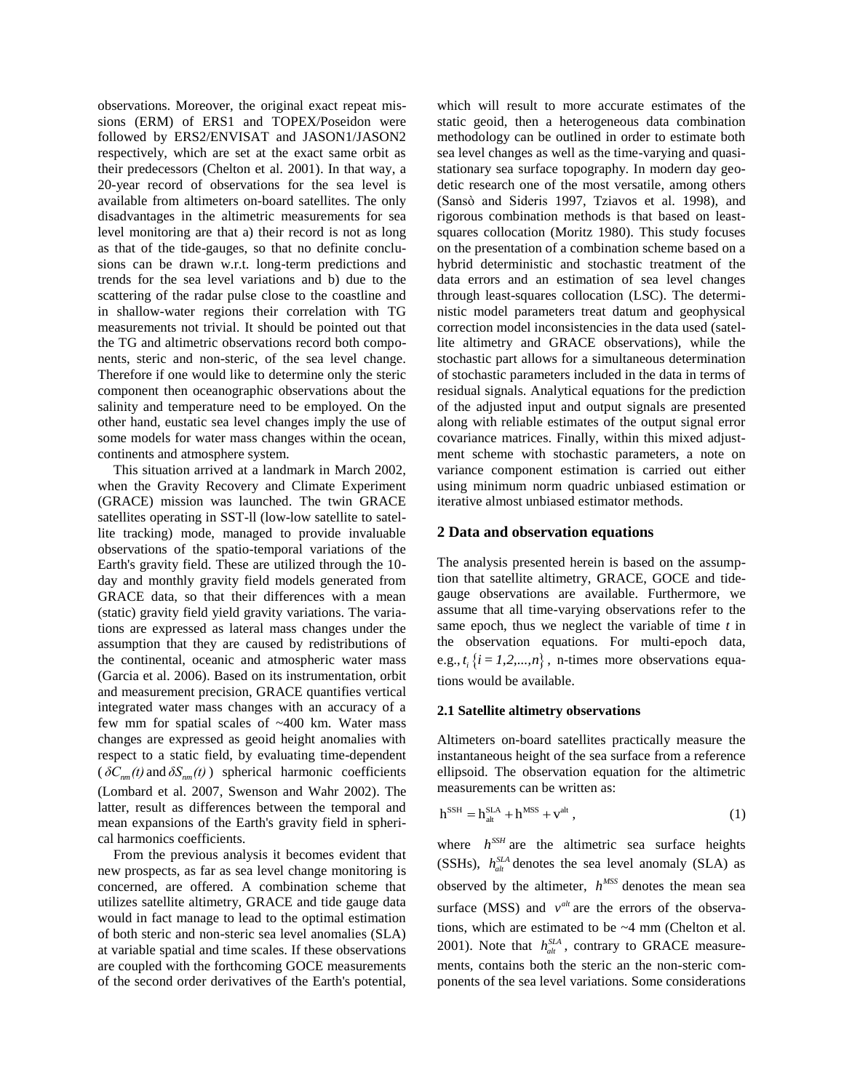observations. Moreover, the original exact repeat missions (ERM) of ERS1 and TOPEX/Poseidon were followed by ERS2/ENVISAT and JASON1/JASON2 respectively, which are set at the exact same orbit as their predecessors (Chelton et al. 2001). In that way, a 20-year record of observations for the sea level is available from altimeters on-board satellites. The only disadvantages in the altimetric measurements for sea level monitoring are that a) their record is not as long as that of the tide-gauges, so that no definite conclusions can be drawn w.r.t. long-term predictions and trends for the sea level variations and b) due to the scattering of the radar pulse close to the coastline and in shallow-water regions their correlation with TG measurements not trivial. It should be pointed out that the TG and altimetric observations record both components, steric and non-steric, of the sea level change. Therefore if one would like to determine only the steric component then oceanographic observations about the salinity and temperature need to be employed. On the other hand, eustatic sea level changes imply the use of some models for water mass changes within the ocean, continents and atmosphere system.

This situation arrived at a landmark in March 2002, when the Gravity Recovery and Climate Experiment (GRACE) mission was launched. The twin GRACE satellites operating in SST-ll (low-low satellite to satellite tracking) mode, managed to provide invaluable observations of the spatio-temporal variations of the Earth's gravity field. These are utilized through the 10 day and monthly gravity field models generated from GRACE data, so that their differences with a mean (static) gravity field yield gravity variations. The variations are expressed as lateral mass changes under the assumption that they are caused by redistributions of the continental, oceanic and atmospheric water mass (Garcia et al. 2006). Based on its instrumentation, orbit and measurement precision, GRACE quantifies vertical integrated water mass changes with an accuracy of a few mm for spatial scales of ~400 km. Water mass changes are expressed as geoid height anomalies with respect to a static field, by evaluating time-dependent  $(\delta C_{nm}(t)$  and  $\delta S_{nm}(t)$  spherical harmonic coefficients (Lombard et al. 2007, Swenson and Wahr 2002). The latter, result as differences between the temporal and mean expansions of the Earth's gravity field in spherical harmonics coefficients.

From the previous analysis it becomes evident that new prospects, as far as sea level change monitoring is concerned, are offered. A combination scheme that utilizes satellite altimetry, GRACE and tide gauge data would in fact manage to lead to the optimal estimation of both steric and non-steric sea level anomalies (SLA) at variable spatial and time scales. If these observations are coupled with the forthcoming GOCE measurements of the second order derivatives of the Earth's potential,

which will result to more accurate estimates of the static geoid, then a heterogeneous data combination methodology can be outlined in order to estimate both sea level changes as well as the time-varying and quasistationary sea surface topography. In modern day geodetic research one of the most versatile, among others (Sansò and Sideris 1997, Tziavos et al. 1998), and rigorous combination methods is that based on leastsquares collocation (Moritz 1980). This study focuses on the presentation of a combination scheme based on a hybrid deterministic and stochastic treatment of the data errors and an estimation of sea level changes through least-squares collocation (LSC). The deterministic model parameters treat datum and geophysical correction model inconsistencies in the data used (satellite altimetry and GRACE observations), while the stochastic part allows for a simultaneous determination of stochastic parameters included in the data in terms of residual signals. Analytical equations for the prediction of the adjusted input and output signals are presented along with reliable estimates of the output signal error covariance matrices. Finally, within this mixed adjustment scheme with stochastic parameters, a note on variance component estimation is carried out either using minimum norm quadric unbiased estimation or iterative almost unbiased estimator methods.

## **2 Data and observation equations**

The analysis presented herein is based on the assumption that satellite altimetry, GRACE, GOCE and tidegauge observations are available. Furthermore, we assume that all time-varying observations refer to the same epoch, thus we neglect the variable of time *t* in the observation equations. For multi-epoch data, e.g.,  $t_i$  { $i = 1, 2, ..., n$ }, n-times more observations equations would be available.

## **2.1 Satellite altimetry observations**

Altimeters on-board satellites practically measure the instantaneous height of the sea surface from a reference ellipsoid. The observation equation for the altimetric measurements can be written as:

$$
h^{\text{SSH}} = h_{\text{alt}}^{\text{SLA}} + h^{\text{MSS}} + v^{\text{alt}} \,, \tag{1}
$$

where  $h^{SSH}$  are the altimetric sea surface heights (SSHs),  $h_{alt}^{SLA}$  denotes the sea level anomaly (SLA) as observed by the altimeter,  $h^{MSS}$  denotes the mean sea surface (MSS) and  $v^{alt}$  are the errors of the observations, which are estimated to be ~4 mm (Chelton et al. 2001). Note that  $h_{alt}^{SLA}$ , contrary to GRACE measurements, contains both the steric an the non-steric components of the sea level variations. Some considerations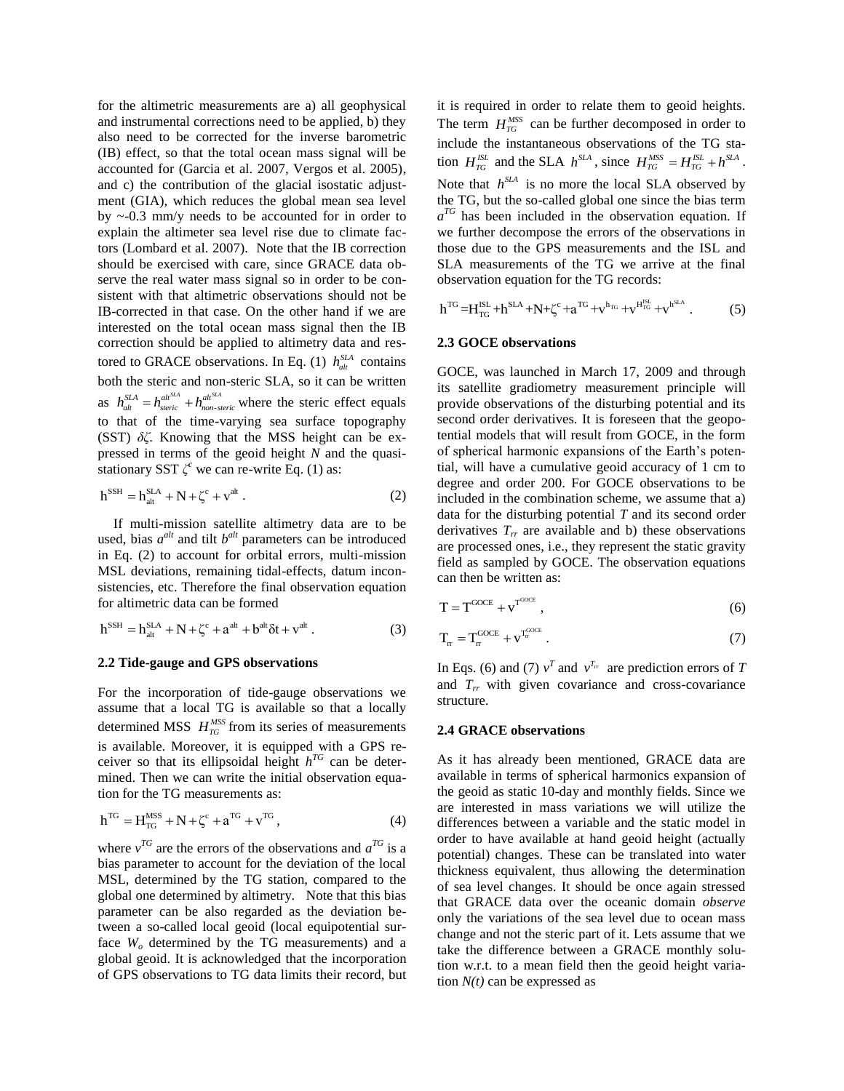for the altimetric measurements are a) all geophysical and instrumental corrections need to be applied, b) they also need to be corrected for the inverse barometric (IB) effect, so that the total ocean mass signal will be accounted for (Garcia et al. 2007, Vergos et al. 2005), and c) the contribution of the glacial isostatic adjustment (GIA), which reduces the global mean sea level by  $\sim$ -0.3 mm/y needs to be accounted for in order to explain the altimeter sea level rise due to climate factors (Lombard et al. 2007). Note that the IB correction should be exercised with care, since GRACE data observe the real water mass signal so in order to be consistent with that altimetric observations should not be IB-corrected in that case. On the other hand if we are interested on the total ocean mass signal then the IB correction should be applied to altimetry data and restored to GRACE observations. In Eq. (1)  $h_{\text{alt}}^{SLA}$  contains both the steric and non-steric SLA, so it can be written as  $h_{\text{alt}}^{SLA} = h_{\text{steric}}^{alt^{SLA}} + h_{\text{non-steric}}^{alt^{SLA}}$  where the steric effect equals to that of the time-varying sea surface topography (SST) *δζ*. Knowing that the MSS height can be expressed in terms of the geoid height *N* and the quasistationary SST  $\zeta^c$  we can re-write Eq. (1) as:

$$
h^{\text{SSH}} = h_{\text{alt}}^{\text{SLA}} + N + \zeta^{\text{c}} + v^{\text{alt}}.
$$
 (2)

If multi-mission satellite altimetry data are to be used, bias  $a^{alt}$  and tilt  $b^{alt}$  parameters can be introduced in Eq. (2) to account for orbital errors, multi-mission MSL deviations, remaining tidal-effects, datum inconsistencies, etc. Therefore the final observation equation for altimetric data can be formed

$$
h^{\text{SSH}} = h_{\text{alt}}^{\text{SLA}} + N + \zeta^{\text{c}} + a^{\text{alt}} + b^{\text{alt}} \delta t + v^{\text{alt}}.
$$
 (3)

#### **2.2 Tide-gauge and GPS observations**

For the incorporation of tide-gauge observations we assume that a local TG is available so that a locally determined MSS  $H_{TG}^{MSS}$  from its series of measurements is available. Moreover, it is equipped with a GPS receiver so that its ellipsoidal height  $h^{TG}$  can be determined. Then we can write the initial observation equation for the TG measurements as:

$$
h^{TG} = H_{TG}^{MSS} + N + \zeta^c + a^{TG} + v^{TG}, \qquad (4)
$$

where  $v^{TG}$  are the errors of the observations and  $a^{TG}$  is a bias parameter to account for the deviation of the local MSL, determined by the TG station, compared to the global one determined by altimetry. Note that this bias parameter can be also regarded as the deviation between a so-called local geoid (local equipotential surface *W<sup>o</sup>* determined by the TG measurements) and a global geoid. It is acknowledged that the incorporation of GPS observations to TG data limits their record, but

it is required in order to relate them to geoid heights. The term  $H_{TG}^{MSS}$  can be further decomposed in order to include the instantaneous observations of the TG station  $H_{TG}^{ISL}$  and the SLA  $h^{SLA}$ , since  $H_{TG}^{MSS} = H_{TG}^{ISL} + h^{SLA}$ . Note that  $h^{SLA}$  is no more the local SLA observed by the TG, but the so-called global one since the bias term  $a^{TG}$  has been included in the observation equation. If we further decompose the errors of the observations in those due to the GPS measurements and the ISL and SLA measurements of the TG we arrive at the final observation equation for the TG records:

$$
h^{TG} = H_{TG}^{ISL} + h^{SLA} + N + \zeta^c + a^{TG} + v^{h_{TG}} + v^{h_{TG}^{SI}} + v^{h^{SLA}}.
$$
 (5)

## **2.3 GOCE observations**

GOCE, was launched in March 17, 2009 and through its satellite gradiometry measurement principle will provide observations of the disturbing potential and its second order derivatives. It is foreseen that the geopotential models that will result from GOCE, in the form of spherical harmonic expansions of the Earth's potential, will have a cumulative geoid accuracy of 1 cm to degree and order 200. For GOCE observations to be included in the combination scheme, we assume that a) data for the disturbing potential *T* and its second order derivatives  $T_{rr}$  are available and b) these observations are processed ones, i.e., they represent the static gravity field as sampled by GOCE. The observation equations can then be written as:

$$
T = T^{GOCE} + v^{T^{GOCE}},
$$
\n
$$
\tag{6}
$$

$$
T_{\rm m} = T_{\rm m}^{\rm GOCE} + v^{T_{\rm m}^{\rm GOCE}}.
$$
\n(7)

In Eqs. (6) and (7)  $v^T$  and  $v^{T_T}$  are prediction errors of *T* and  $T_{rr}$  with given covariance and cross-covariance structure.

### **2.4 GRACE observations**

As it has already been mentioned, GRACE data are available in terms of spherical harmonics expansion of the geoid as static 10-day and monthly fields. Since we are interested in mass variations we will utilize the differences between a variable and the static model in order to have available at hand geoid height (actually potential) changes. These can be translated into water thickness equivalent, thus allowing the determination of sea level changes. It should be once again stressed that GRACE data over the oceanic domain *observe* only the variations of the sea level due to ocean mass change and not the steric part of it. Lets assume that we take the difference between a GRACE monthly solution w.r.t. to a mean field then the geoid height variation  $N(t)$  can be expressed as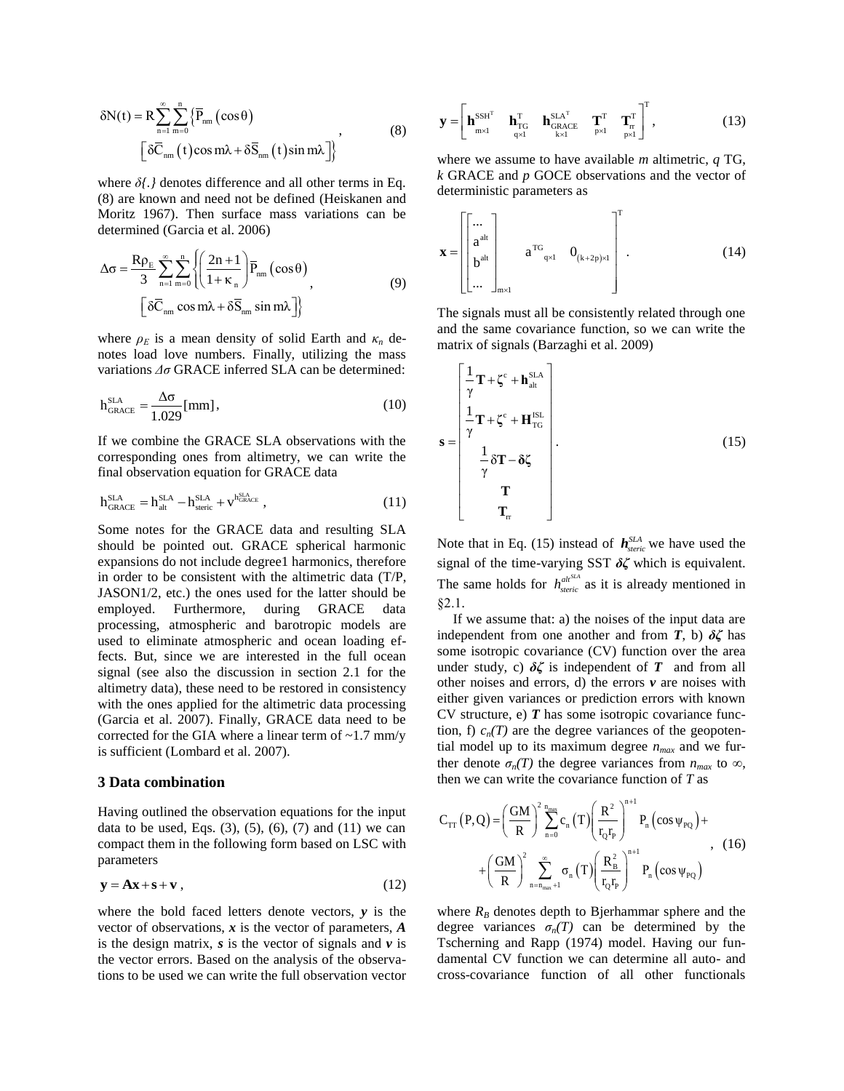$$
\delta N(t) = R \sum_{n=1}^{\infty} \sum_{m=0}^{n} \left\{ \overline{P}_{nm} \left( \cos \theta \right) \right. \\ \left[ \delta \overline{C}_{nm} \left( t \right) \cos m \lambda + \delta \overline{S}_{nm} \left( t \right) \sin m \lambda \right] \right\} \tag{8}
$$

where  $\delta$ *{.}* denotes difference and all other terms in Eq. (8) are known and need not be defined (Heiskanen and Moritz 1967). Then surface mass variations can be determined (Garcia et al. 2006)

$$
\Delta \sigma = \frac{R \rho_{E}}{3} \sum_{n=1}^{\infty} \sum_{m=0}^{n} \left\{ \left( \frac{2n+1}{1+\kappa_{n}} \right) \overline{P}_{nm} \left( \cos \theta \right) \right\}
$$
  

$$
\left[ \delta \overline{C}_{nm} \cos m \lambda + \delta \overline{S}_{nm} \sin m \lambda \right] \right\}
$$
 (9)

where  $\rho_E$  is a mean density of solid Earth and  $\kappa_n$  denotes load love numbers. Finally, utilizing the mass variations *Δζ* GRACE inferred SLA can be determined:

$$
h_{\text{GRACE}}^{\text{SLA}} = \frac{\Delta \sigma}{1.029} [\text{mm}], \qquad (10)
$$

If we combine the GRACE SLA observations with the corresponding ones from altimetry, we can write the final observation equation for GRACE data

$$
h_{\text{GRACE}}^{\text{SLA}}=h_{\text{alt}}^{\text{SLA}}-h_{\text{steric}}^{\text{SLA}}+v_{\text{GRACE}}^{\text{NLA}}\;, \hspace{1.5cm} (11)
$$

Some notes for the GRACE data and resulting SLA should be pointed out. GRACE spherical harmonic expansions do not include degree1 harmonics, therefore in order to be consistent with the altimetric data (T/P, JASON1/2, etc.) the ones used for the latter should be employed. Furthermore, during GRACE data processing, atmospheric and barotropic models are used to eliminate atmospheric and ocean loading effects. But, since we are interested in the full ocean signal (see also the discussion in section 2.1 for the altimetry data), these need to be restored in consistency with the ones applied for the altimetric data processing (Garcia et al. 2007). Finally, GRACE data need to be corrected for the GIA where a linear term of  $\sim$ 1.7 mm/y is sufficient (Lombard et al. 2007).

#### **3 Data combination**

Having outlined the observation equations for the input data to be used, Eqs.  $(3)$ ,  $(5)$ ,  $(6)$ ,  $(7)$  and  $(11)$  we can compact them in the following form based on LSC with parameters

$$
y = Ax + s + v, \qquad (12)
$$

where the bold faced letters denote vectors, *y* is the vector of observations, *x* is the vector of parameters, *A* is the design matrix,  $s$  is the vector of signals and  $v$  is the vector errors. Based on the analysis of the observations to be used we can write the full observation vector

$$
\mathbf{y} = \begin{bmatrix} \mathbf{h}_{\text{nsH}}^{\text{SSH}} & \mathbf{h}_{\text{TG}}^{\text{T}} & \mathbf{h}_{\text{GRACE}}^{\text{SLA}^{\text{T}}} & \mathbf{T}_{\text{pr}}^{\text{T}} & \mathbf{T}_{\text{pr}}^{\text{T}} \end{bmatrix}^{\text{T}}, \qquad (13)
$$

where we assume to have available *m* altimetric, *q* TG, *k* GRACE and *p* GOCE observations and the vector of deterministic parameters as

$$
\mathbf{x} = \begin{bmatrix} \cdots \\ a^{\text{alt}} \\ b^{\text{alt}} \\ \cdots \end{bmatrix}_{m \times I} \quad a^{\text{TG}} \quad 0_{(k+2p) \times I} \quad \begin{bmatrix} 1 \\ 0 \end{bmatrix} . \tag{14}
$$

The signals must all be consistently related through one and the same covariance function, so we can write the matrix of signals (Barzaghi et al. 2009)

$$
\mathbf{s} = \begin{bmatrix} \frac{1}{\gamma} \mathbf{T} + \zeta^{c} + \mathbf{h}_{\text{alt}}^{\text{SLA}} \\ \frac{1}{\gamma} \mathbf{T} + \zeta^{c} + \mathbf{H}_{\text{TG}}^{\text{SLA}} \\ \frac{1}{\gamma} \delta \mathbf{T} - \delta \zeta \\ \mathbf{T} \\ \mathbf{T}_{\text{rr}} \end{bmatrix} . \tag{15}
$$

Note that in Eq. (15) instead of  $h_{\text{steric}}^{SIA}$  we have used the signal of the time-varying SST *δζ* which is equivalent. The same holds for  $h_{\text{steric}}^{ab^{SIA}}$  as it is already mentioned in §2.1.

If we assume that: a) the noises of the input data are independent from one another and from  $T$ , b)  $\delta \zeta$  has some isotropic covariance (CV) function over the area under study, c)  $\delta \zeta$  is independent of *T* and from all other noises and errors,  $d$ ) the errors  $\nu$  are noises with either given variances or prediction errors with known CV structure,  $e$ )  $T$  has some isotropic covariance function, f)  $c_n(T)$  are the degree variances of the geopotential model up to its maximum degree  $n_{max}$  and we further denote  $\sigma_n(T)$  the degree variances from  $n_{max}$  to  $\infty$ , then we can write the covariance function of *T* as

$$
C_{TT} (P,Q) = \left(\frac{GM}{R}\right)^2 \sum_{n=0}^{n_{max}} c_n (T) \left(\frac{R^2}{r_0 r_p}\right)^{n+1} P_n \left(\cos \psi_{PQ}\right) + \\ + \left(\frac{GM}{R}\right)^2 \sum_{n=n_{max}+1}^{\infty} \sigma_n (T) \left(\frac{R_B^2}{r_0 r_p}\right)^{n+1} P_n \left(\cos \psi_{PQ}\right)
$$
 (16)

where  $R_B$  denotes depth to Bjerhammar sphere and the degree variances  $\sigma_n(T)$  can be determined by the Tscherning and Rapp (1974) model. Having our fundamental CV function we can determine all auto- and cross-covariance function of all other functionals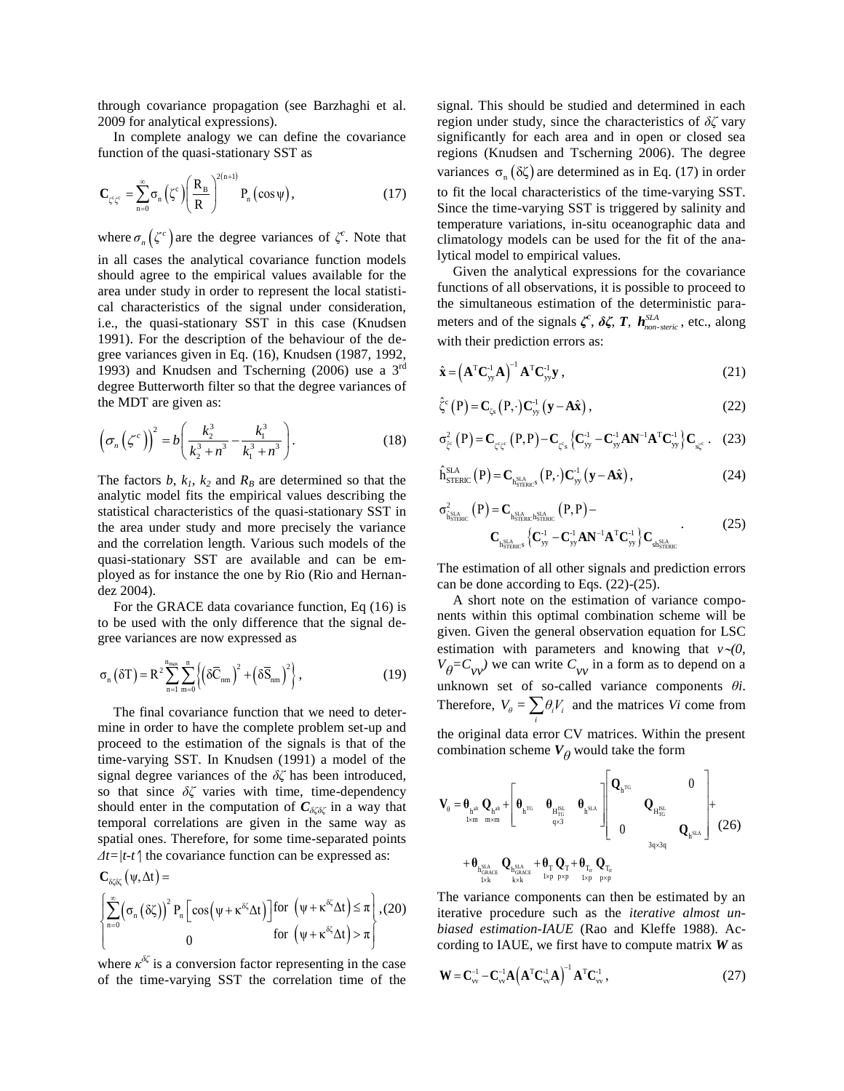through covariance propagation (see Barzhaghi et al. 2009 for analytical expressions).

In complete analogy we can define the covariance function of the quasi-stationary SST as

$$
\mathbf{C}_{\zeta^c \zeta^c} = \sum_{n=0}^{\infty} \sigma_n \left( \zeta^c \right) \left( \frac{R_B}{R} \right)^{2(n+1)} P_n \left( \cos \psi \right), \tag{17}
$$

where  $\sigma_n(\zeta^c)$  are the degree variances of  $\zeta^c$ . Note that in all cases the analytical covariance function models should agree to the empirical values available for the area under study in order to represent the local statistical characteristics of the signal under consideration, i.e., the quasi-stationary SST in this case (Knudsen 1991). For the description of the behaviour of the degree variances given in Eq. (16), Knudsen (1987, 1992, 1993) and Knudsen and Tscherning (2006) use a 3rd degree Butterworth filter so that the degree variances of the MDT are given as:

$$
\left(\sigma_n\left(\zeta^c\right)\right)^2 = b\left(\frac{k_2^3}{k_2^3 + n^3} - \frac{k_1^3}{k_1^3 + n^3}\right). \tag{18}
$$

The factors  $b$ ,  $k_1$ ,  $k_2$  and  $R_B$  are determined so that the analytic model fits the empirical values describing the statistical characteristics of the quasi-stationary SST in the area under study and more precisely the variance and the correlation length. Various such models of the quasi-stationary SST are available and can be employed as for instance the one by Rio (Rio and Hernandez 2004).

For the GRACE data covariance function, Eq (16) is to be used with the only difference that the signal degree variances are now expressed as

$$
\sigma_{n}(\delta T) = R^{2} \sum_{n=1}^{n_{max}} \sum_{m=0}^{n} \left\{ \left( \delta \overline{C}_{nm} \right)^{2} + \left( \delta \overline{S}_{nm} \right)^{2} \right\},
$$
\n(19)

The final covariance function that we need to determine in order to have the complete problem set-up and proceed to the estimation of the signals is that of the time-varying SST. In Knudsen (1991) a model of the signal degree variances of the *δζ* has been introduced, so that since  $\delta \zeta$  varies with time, time-dependency should enter in the computation of *Cδζδζ* in a way that temporal correlations are given in the same way as spatial ones. Therefore, for some time-separated points *Δt=|t-t|* the covariance function can be expressed as:

$$
\mathbf{C}_{\delta\zeta\delta\zeta}(\psi,\Delta t) = \begin{cases} \sum_{\alpha=\delta}^{\infty} (\psi,\Delta t) \sin\left(\frac{\omega}{\zeta}\right)^2 P_n \cos\left(\psi + \kappa^{\delta\zeta}\Delta t\right) \sin\left(\psi + \kappa^{\delta\zeta}\Delta t\right) \le \pi \\ 0 & \text{for } \left(\psi + \kappa^{\delta\zeta}\Delta t\right) > \pi \end{cases}, (20)
$$

where  $\kappa^{\delta \zeta}$  is a conversion factor representing in the case of the time-varying SST the correlation time of the

signal. This should be studied and determined in each region under study, since the characteristics of *δζ* vary significantly for each area and in open or closed sea regions (Knudsen and Tscherning 2006). The degree variances  $\sigma_n(\delta \zeta)$  are determined as in Eq. (17) in order to fit the local characteristics of the time-varying SST. Since the time-varying SST is triggered by salinity and temperature variations, in-situ oceanographic data and climatology models can be used for the fit of the analytical model to empirical values.

Given the analytical expressions for the covariance functions of all observations, it is possible to proceed to the simultaneous estimation of the deterministic parameters and of the signals  $\zeta^c$ ,  $\delta \zeta$ , *T*,  $h_{\text{non-steric}}^{SLA}$ , etc., along with their prediction errors as:

$$
\hat{\mathbf{x}} = \left(\mathbf{A}^{\mathrm{T}} \mathbf{C}_{\mathrm{yy}}^{\mathrm{T}} \mathbf{A}\right)^{-1} \mathbf{A}^{\mathrm{T}} \mathbf{C}_{\mathrm{yy}}^{\mathrm{T}} \mathbf{y},\tag{21}
$$

$$
\hat{\zeta}^{\rm c}\left(P\right) = \mathbf{C}_{\zeta\rm s}\left(P,\cdot\right) \mathbf{C}_{\rm y}^{\rm l}\left(\mathbf{y} - \mathbf{A}\hat{\mathbf{x}}\right),\tag{22}
$$

$$
\sigma_{\zeta^c}^2(P) = C_{\zeta^c \zeta^c} (P, P) - C_{\zeta^c s} \left\{ C_{yy}^1 - C_{yy}^1 A N^{-1} A^T C_{yy}^1 \right\} C_{s\zeta^c} .
$$
 (23)

$$
\hat{h}_{STERC}^{SLA}\left(P\right) = \mathbf{C}_{h_{STERC}^{SLA}}\left(P, \cdot\right) \mathbf{C}_{y}^{-1}\left(\mathbf{y} - \mathbf{A}\hat{\mathbf{x}}\right),\tag{24}
$$

$$
\sigma_{\hat{h}_{\text{STERC}}^{SLA}}^{2}(P) = \mathbf{C}_{\hat{h}_{\text{STERC}}^{SLA},\hat{h}_{\text{STERC}}^{SLA}}(P,P) - \n\mathbf{C}_{\hat{h}_{\text{STERC}}^{SLA},\hat{h}_{\text{STERC}}^{2}}\left(\mathbf{C}_{yy}^{-1} - \mathbf{C}_{yy}^{-1}\mathbf{A}\mathbf{N}^{-1}\mathbf{A}^{\mathrm{T}}\mathbf{C}_{yy}^{-1}\right)\mathbf{C}_{\text{sh}_{\text{STERC}}^{SLA}} \tag{25}
$$

The estimation of all other signals and prediction errors can be done according to Eqs. (22)-(25).

A short note on the estimation of variance components within this optimal combination scheme will be given. Given the general observation equation for LSC estimation with parameters and knowing that  $v \sim (0, 1)$  $V_{\theta} = C_{\gamma \gamma}$  we can write  $C_{\gamma \gamma}$  in a form as to depend on a unknown set of so-called variance components *θi*. Therefore,  $V_{\theta} = \sum \theta_i V_i$  and the matrices *Vi* come from *i* the original data error CV matrices. Within the present

$$
\mathbf{V}_{\theta} = \mathbf{\theta}_{h^{\text{all}}}_{\text{sum}} \mathbf{Q}_{h^{\text{all}}}_{\text{max}} + \begin{bmatrix} \mathbf{\theta}_{h^{\text{TO}}} & \mathbf{\theta}_{h^{\text{RLO}}}_{\text{RLO}} & \mathbf{\theta}_{h^{\text{SL}}} \\ \mathbf{\theta}_{h^{\text{TO}}} & \mathbf{\theta}_{h^{\text{RLO}}}_{\text{max}} & \mathbf{\theta}_{h^{\text{SL}}} \end{bmatrix} \begin{bmatrix} \mathbf{Q}_{h^{\text{TO}}} & 0 \\ & \mathbf{Q}_{h^{\text{RLO}}}_{\text{RLO}} & 0 \\ & & \mathbf{Q}_{h^{\text{SL}}}_{\text{RLO}} \\ \mathbf{Q}_{h^{\text{SLA}}}_{\text{max}} & \mathbf{Q}_{h^{\text{SLA}}}_{\text{max}} + \mathbf{\theta}_{h^{\text{T}}}_{\text{max}} \mathbf{Q}_{h^{\text{T}}} + \mathbf{\theta}_{h^{\text{T}}}_{\text{max}} \mathbf{Q}_{h^{\text{T}}}_{\text{max}} \\ & & \vdots \\ \mathbf{Q}_{h^{\text{SLA}}}_{\text{max}} \mathbf{Q}_{h^{\text{SLA}}}_{\text{max}} + \mathbf{\theta}_{h^{\text{T}}}_{\text{max}} \mathbf{Q}_{h^{\text{T}}} + \mathbf{\theta}_{h^{\text{T}}}_{\text{max}} \mathbf{Q}_{h^{\text{T}}}_{\text{max}} \end{bmatrix} + \mathbf{Q}_{h^{\text{SLA}}} \mathbf{Q}_{h^{\text{SLA}}} + \mathbf{Q}_{h^{\text{SLA}}}_{\text{max}} \mathbf{Q}_{h^{\text{SLA}}} + \mathbf{Q}_{h^{\text{T}}}_{\text{max}} \mathbf{Q}_{h^{\text{SLA}}} + \mathbf{Q}_{h^{\text{T}}}_{\text{max}} \mathbf{Q}_{h^{\text{SLA}}} + \mathbf{Q}_{h^{\text{T}}}_{\text{max}} \mathbf{Q}_{h^{\text{SLA}}} + \mathbf{Q}_{h^{\text{T}}}_{\text{max}} \mathbf{Q}_{h^{\text{SLA}}} + \mathbf{Q}_{h^{\text{T}}}_{\text{max}} \mathbf{Q}_{h^{\text{SLA}}} + \mathbf{Q}_{h^{\text{T}}}_{\text{max}} \mathbf{Q}_{h^{\text{SLA}}} + \mathbf{Q}_{h^{\text{T}}}_{\text{max}} \mathbf{Q}_{h^{\text{SLA}}} + \mathbf
$$

The variance components can then be estimated by an iterative procedure such as the *iterative almost unbiased estimation-IAUE* (Rao and Kleffe 1988). According to IAUE, we first have to compute matrix *W* as

$$
\mathbf{W} = \mathbf{C}_{\text{vv}}^{-1} - \mathbf{C}_{\text{vv}}^{-1} \mathbf{A} \left( \mathbf{A}^{\text{T}} \mathbf{C}_{\text{vv}}^{1} \mathbf{A} \right)^{-1} \mathbf{A}^{\text{T}} \mathbf{C}_{\text{vv}}^{1}, \qquad (27)
$$